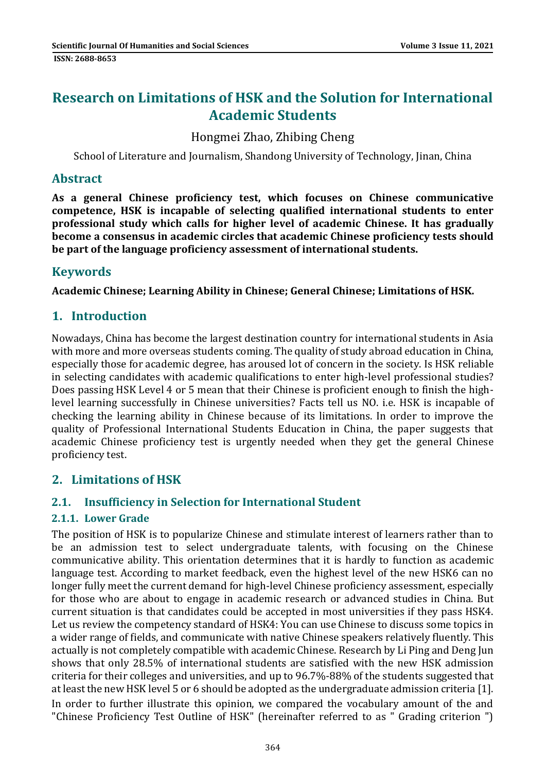# **Research on Limitations of HSK and the Solution for International Academic Students**

## Hongmei Zhao, Zhibing Cheng

School of Literature and Journalism, Shandong University of Technology, Jinan, China

### **Abstract**

**As a general Chinese proficiency test, which focuses on Chinese communicative competence, HSK is incapable of selecting qualified international students to enter professional study which calls for higher level of academic Chinese. It has gradually become a consensus in academic circles that academic Chinese proficiency tests should be part of the language proficiency assessment of international students.**

## **Keywords**

**Academic Chinese; Learning Ability in Chinese; General Chinese; Limitations of HSK.**

## **1. Introduction**

Nowadays, China has become the largest destination country for international students in Asia with more and more overseas students coming. The quality of study abroad education in China, especially those for academic degree, has aroused lot of concern in the society. Is HSK reliable in selecting candidates with academic qualifications to enter high-level professional studies? Does passing HSK Level 4 or 5 mean that their Chinese is proficient enough to finish the highlevel learning successfully in Chinese universities? Facts tell us NO. i.e. HSK is incapable of checking the learning ability in Chinese because of its limitations. In order to improve the quality of Professional International Students Education in China, the paper suggests that academic Chinese proficiency test is urgently needed when they get the general Chinese proficiency test.

## **2. Limitations of HSK**

### **2.1. Insufficiency in Selection for International Student**

### **2.1.1. Lower Grade**

The position of HSK is to popularize Chinese and stimulate interest of learners rather than to be an admission test to select undergraduate talents, with focusing on the Chinese communicative ability. This orientation determines that it is hardly to function as academic language test. According to market feedback, even the highest level of the new HSK6 can no longer fully meet the current demand for high-level Chinese proficiency assessment, especially for those who are about to engage in academic research or advanced studies in China. But current situation is that candidates could be accepted in most universities if they pass HSK4. Let us review the competency standard of HSK4: You can use Chinese to discuss some topics in a wider range of fields, and communicate with native Chinese speakers relatively fluently. This actually is not completely compatible with academic Chinese. Research by Li Ping and Deng Jun shows that only 28.5% of international students are satisfied with the new HSK admission criteria for their colleges and universities, and up to 96.7%-88% of the students suggested that at least the new HSK level 5 or 6 should be adopted as the undergraduate admission criteria [1]. In order to further illustrate this opinion, we compared the vocabulary amount of the and "Chinese Proficiency Test Outline of HSK" (hereinafter referred to as " Grading criterion ")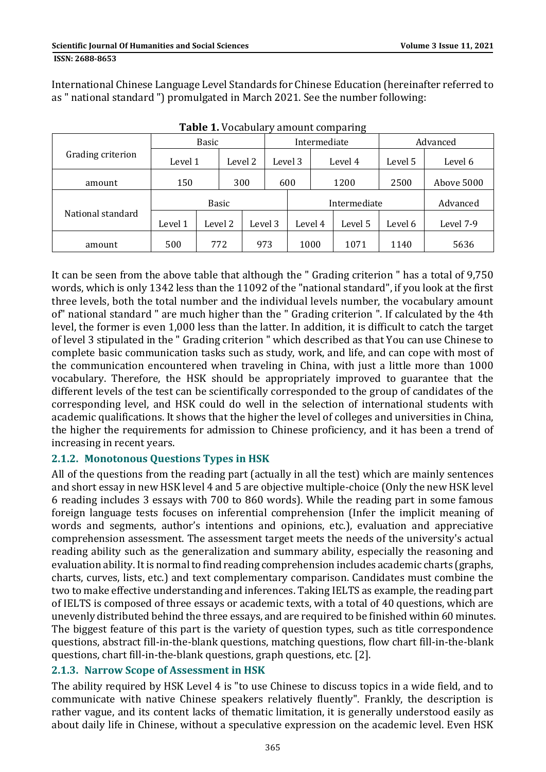International Chinese Language Level Standards for Chinese Education (hereinafter referred to as " national standard ") promulgated in March 2021. See the number following:

|                   | <b>Basic</b> |         |         |         | Intermediate |              |      |         | Advanced |            |
|-------------------|--------------|---------|---------|---------|--------------|--------------|------|---------|----------|------------|
| Grading criterion | Level 1      |         | Level 2 |         |              | Level 3      |      | Level 4 | Level 5  | Level 6    |
| amount            | 150          |         |         | 300     |              | 600          |      | 1200    | 2500     | Above 5000 |
| National standard | <b>Basic</b> |         |         |         |              | Intermediate |      |         |          | Advanced   |
|                   | Level 1      | Level 2 |         | Level 3 |              | Level 4      |      | Level 5 | Level 6  | Level 7-9  |
| amount            | 500          | 772     |         | 973     |              |              | 1000 | 1071    | 1140     | 5636       |

**Table 1.** Vocabulary amount comparing

It can be seen from the above table that although the " Grading criterion " has a total of 9,750 words, which is only 1342 less than the 11092 of the "national standard", if you look at the first three levels, both the total number and the individual levels number, the vocabulary amount of" national standard " are much higher than the " Grading criterion ". If calculated by the 4th level, the former is even 1,000 less than the latter. In addition, it is difficult to catch the target of level 3 stipulated in the " Grading criterion " which described as that You can use Chinese to complete basic communication tasks such as study, work, and life, and can cope with most of the communication encountered when traveling in China, with just a little more than 1000 vocabulary. Therefore, the HSK should be appropriately improved to guarantee that the different levels of the test can be scientifically corresponded to the group of candidates of the corresponding level, and HSK could do well in the selection of international students with academic qualifications. It shows that the higher the level of colleges and universities in China, the higher the requirements for admission to Chinese proficiency, and it has been a trend of increasing in recent years.

### **2.1.2. Monotonous Questions Types in HSK**

All of the questions from the reading part (actually in all the test) which are mainly sentences and short essay in new HSK level 4 and 5 are objective multiple-choice (Only the new HSK level 6 reading includes 3 essays with 700 to 860 words). While the reading part in some famous foreign language tests focuses on inferential comprehension (Infer the implicit meaning of words and segments, author's intentions and opinions, etc.), evaluation and appreciative comprehension assessment. The assessment target meets the needs of the university's actual reading ability such as the generalization and summary ability, especially the reasoning and evaluation ability. It is normal to find reading comprehension includes academic charts (graphs, charts, curves, lists, etc.) and text complementary comparison. Candidates must combine the two to make effective understanding and inferences. Taking IELTS as example, the reading part of IELTS is composed of three essays or academic texts, with a total of 40 questions, which are unevenly distributed behind the three essays, and are required to be finished within 60 minutes. The biggest feature of this part is the variety of question types, such as title correspondence questions, abstract fill-in-the-blank questions, matching questions, flow chart fill-in-the-blank questions, chart fill-in-the-blank questions, graph questions, etc. [2].

### **2.1.3. Narrow Scope of Assessment in HSK**

The ability required by HSK Level 4 is "to use Chinese to discuss topics in a wide field, and to communicate with native Chinese speakers relatively fluently". Frankly, the description is rather vague, and its content lacks of thematic limitation, it is generally understood easily as about daily life in Chinese, without a speculative expression on the academic level. Even HSK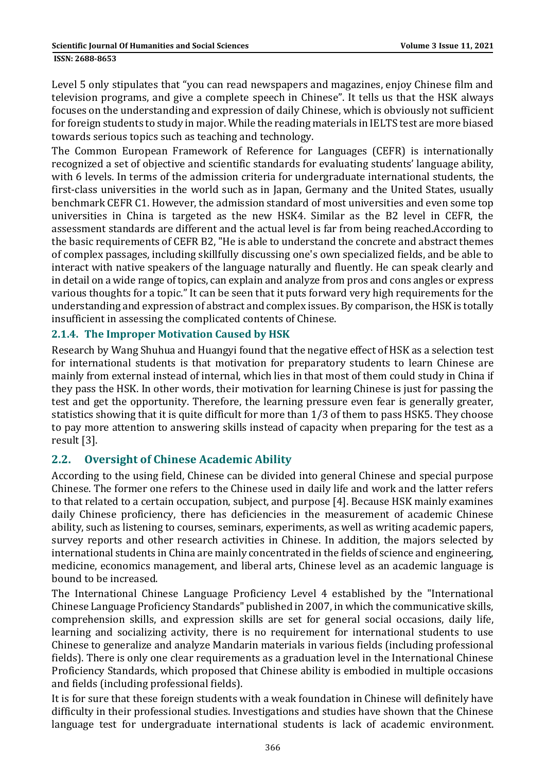#### **ISSN: 2688-8653**

Level 5 only stipulates that "you can read newspapers and magazines, enjoy Chinese film and television programs, and give a complete speech in Chinese". It tells us that the HSK always focuses on the understanding and expression of daily Chinese, which is obviously not sufficient for foreign students to study in major. While the reading materials in IELTS test are more biased towards serious topics such as teaching and technology.

The Common European Framework of Reference for Languages (CEFR) is internationally recognized a set of objective and scientific standards for evaluating students' language ability, with 6 levels. In terms of the admission criteria for undergraduate international students, the first-class universities in the world such as in Japan, Germany and the United States, usually benchmark CEFR C1. However, the admission standard of most universities and even some top universities in China is targeted as the new HSK4. Similar as the B2 level in CEFR, the assessment standards are different and the actual level is far from being reached.According to the basic requirements of CEFR B2, "He is able to understand the concrete and abstract themes of complex passages, including skillfully discussing one's own specialized fields, and be able to interact with native speakers of the language naturally and fluently. He can speak clearly and in detail on a wide range of topics, can explain and analyze from pros and cons angles or express various thoughts for a topic." It can be seen that it puts forward very high requirements for the understanding and expression of abstract and complex issues. By comparison, the HSK is totally insufficient in assessing the complicated contents of Chinese.

### **2.1.4. The Improper Motivation Caused by HSK**

Research by Wang Shuhua and Huangyi found that the negative effect of HSK as a selection test for international students is that motivation for preparatory students to learn Chinese are mainly from external instead of internal, which lies in that most of them could study in China if they pass the HSK. In other words, their motivation for learning Chinese is just for passing the test and get the opportunity. Therefore, the learning pressure even fear is generally greater, statistics showing that it is quite difficult for more than 1/3 of them to pass HSK5. They choose to pay more attention to answering skills instead of capacity when preparing for the test as a result [3].

### **2.2. Oversight of Chinese Academic Ability**

According to the using field, Chinese can be divided into general Chinese and special purpose Chinese. The former one refers to the Chinese used in daily life and work and the latter refers to that related to a certain occupation, subject, and purpose [4]. Because HSK mainly examines daily Chinese proficiency, there has deficiencies in the measurement of academic Chinese ability, such as listening to courses, seminars, experiments, as well as writing academic papers, survey reports and other research activities in Chinese. In addition, the majors selected by international students in China are mainly concentrated in the fields of science and engineering, medicine, economics management, and liberal arts, Chinese level as an academic language is bound to be increased.

The International Chinese Language Proficiency Level 4 established by the "International Chinese Language Proficiency Standards" published in 2007, in which the communicative skills, comprehension skills, and expression skills are set for general social occasions, daily life, learning and socializing activity, there is no requirement for international students to use Chinese to generalize and analyze Mandarin materials in various fields (including professional fields). There is only one clear requirements as a graduation level in the International Chinese Proficiency Standards, which proposed that Chinese ability is embodied in multiple occasions and fields (including professional fields).

It is for sure that these foreign students with a weak foundation in Chinese will definitely have difficulty in their professional studies. Investigations and studies have shown that the Chinese language test for undergraduate international students is lack of academic environment.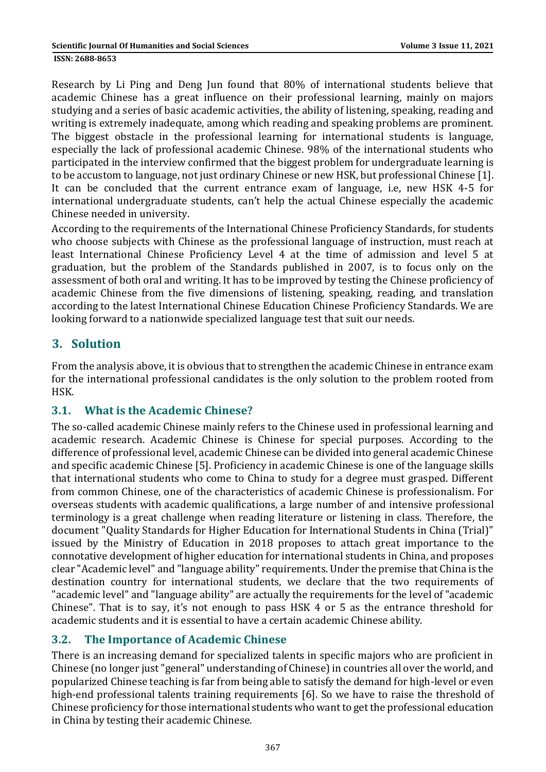Research by Li Ping and Deng Jun found that 80% of international students believe that academic Chinese has a great influence on their professional learning, mainly on majors studying and a series of basic academic activities, the ability of listening, speaking, reading and writing is extremely inadequate, among which reading and speaking problems are prominent. The biggest obstacle in the professional learning for international students is language, especially the lack of professional academic Chinese. 98% of the international students who participated in the interview confirmed that the biggest problem for undergraduate learning is to be accustom to language, not just ordinary Chinese or new HSK, but professional Chinese [1]. It can be concluded that the current entrance exam of language, i.e, new HSK 4-5 for international undergraduate students, can't help the actual Chinese especially the academic Chinese needed in university.

According to the requirements of the International Chinese Proficiency Standards, for students who choose subjects with Chinese as the professional language of instruction, must reach at least International Chinese Proficiency Level 4 at the time of admission and level 5 at graduation, but the problem of the Standards published in 2007, is to focus only on the assessment of both oral and writing. It has to be improved by testing the Chinese proficiency of academic Chinese from the five dimensions of listening, speaking, reading, and translation according to the latest International Chinese Education Chinese Proficiency Standards. We are looking forward to a nationwide specialized language test that suit our needs.

## **3. Solution**

From the analysis above, it is obvious that to strengthen the academic Chinese in entrance exam for the international professional candidates is the only solution to the problem rooted from HSK.

## **3.1. What is the Academic Chinese?**

The so-called academic Chinese mainly refers to the Chinese used in professional learning and academic research. Academic Chinese is Chinese for special purposes. According to the difference of professional level, academic Chinese can be divided into general academic Chinese and specific academic Chinese [5]. Proficiency in academic Chinese is one of the language skills that international students who come to China to study for a degree must grasped. Different from common Chinese, one of the characteristics of academic Chinese is professionalism. For overseas students with academic qualifications, a large number of and intensive professional terminology is a great challenge when reading literature or listening in class. Therefore, the document "Quality Standards for Higher Education for International Students in China (Trial)" issued by the Ministry of Education in 2018 proposes to attach great importance to the connotative development of higher education for international students in China, and proposes clear "Academic level" and "language ability" requirements. Under the premise that China is the destination country for international students, we declare that the two requirements of "academic level" and "language ability" are actually the requirements for the level of "academic Chinese". That is to say, it's not enough to pass HSK 4 or 5 as the entrance threshold for academic students and it is essential to have a certain academic Chinese ability.

## **3.2. The Importance of Academic Chinese**

There is an increasing demand for specialized talents in specific majors who are proficient in Chinese (no longer just "general" understanding of Chinese) in countries all over the world, and popularized Chinese teaching is far from being able to satisfy the demand for high-level or even high-end professional talents training requirements [6]. So we have to raise the threshold of Chinese proficiency for those international students who want to get the professional education in China by testing their academic Chinese.